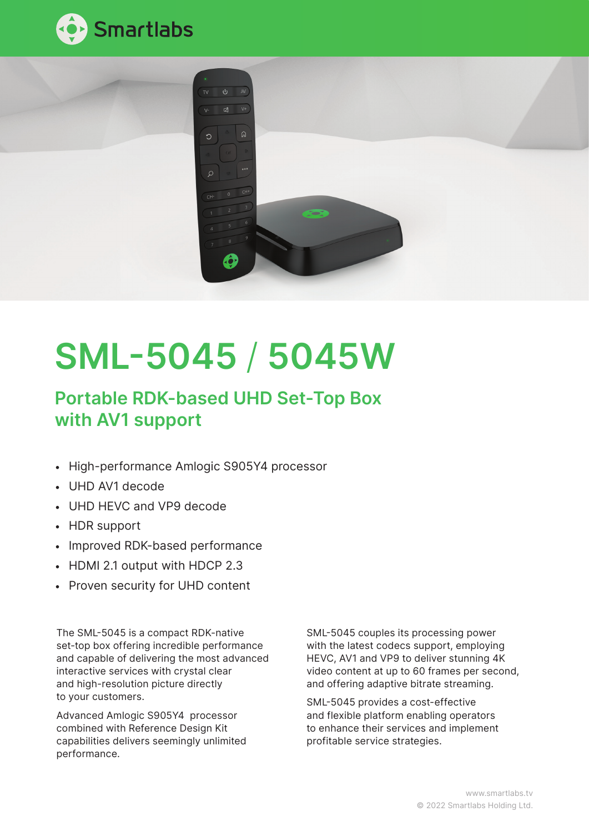



# SML-5045 / 5045W

# Portable RDK-based UHD Set-Top Box with AV1 support

- High-performance Amlogic S905Y4 processor
- UHD AV1 decode
- UHD HEVC and VP9 decode
- HDR support
- Improved RDK-based performance
- HDMI 2.1 output with HDCP 2.3
- Proven security for UHD content

The SML-5045 is a compact RDK-native set-top box offering incredible performance and capable of delivering the most advanced interactive services with crystal clear and high-resolution picture directly to your customers.

Advanced Amlogic S905Y4 processor combined with Reference Design Kit capabilities delivers seemingly unlimited performance.

SML-5045 couples its processing power with the latest codecs support, employing HEVC, AV1 and VP9 to deliver stunning 4K video content at up to 60 frames per second, and offering adaptive bitrate streaming.

SML-5045 provides a cost-effective and flexible platform enabling operators to enhance their services and implement profitable service strategies.